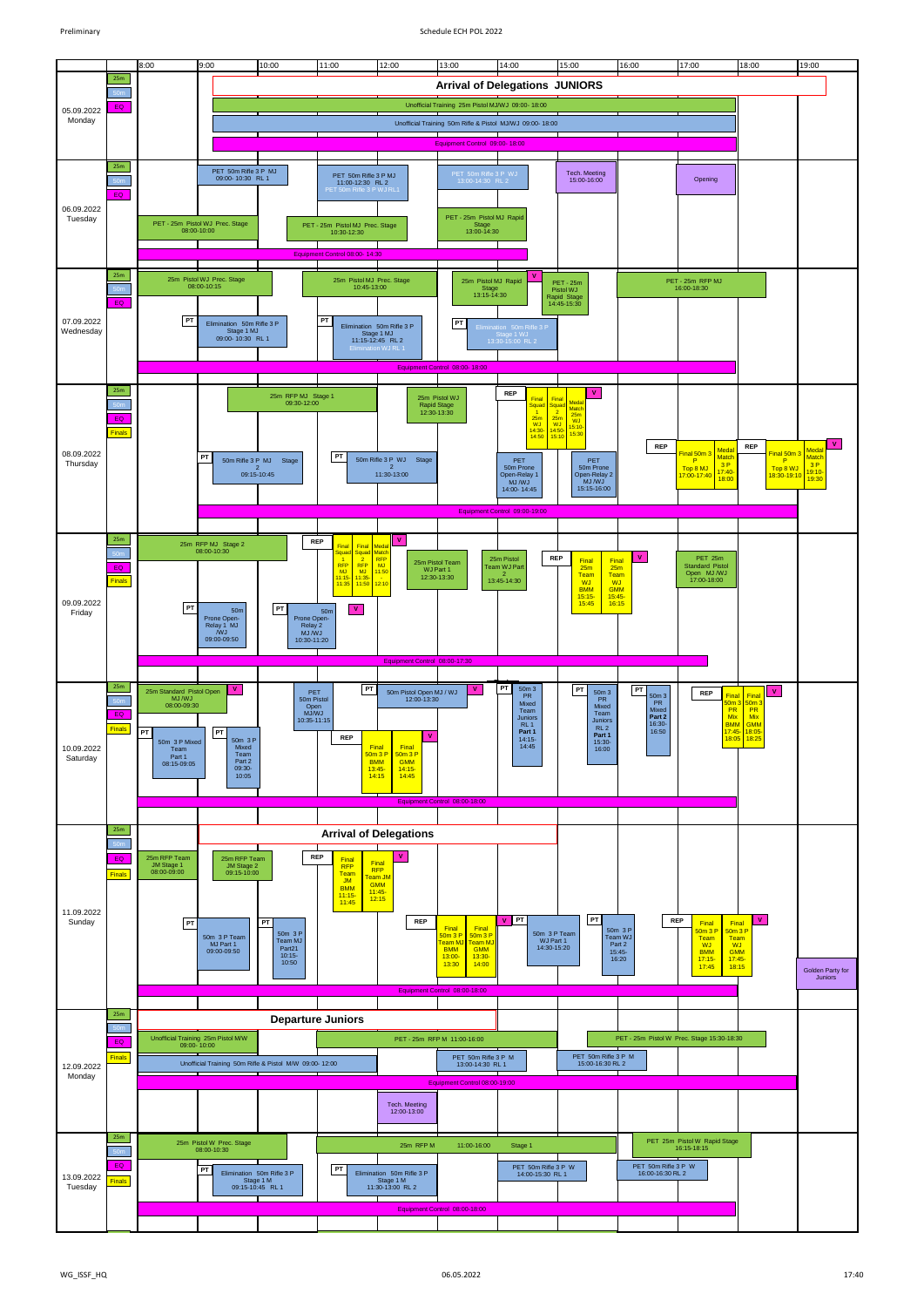